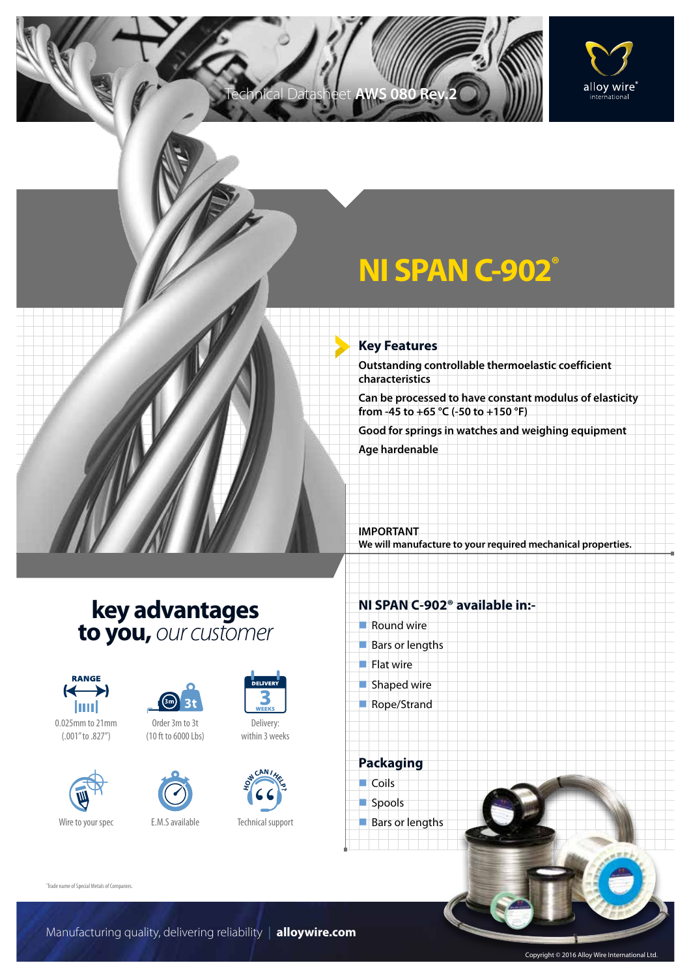

# **NI SPAN C-902®**

#### **Key Features**

Technical Datasheet **AWS 080 Rev.2**

**Outstanding controllable thermoelastic coefficient characteristics**

**Can be processed to have constant modulus of elasticity from -45 to +65 °C (-50 to +150 °F)**

**Good for springs in watches and weighing equipment**

**Age hardenable**

**IMPORTANT We will manufacture to your required mechanical properties.**

## **key advantages to you,** *our customer*



0.025mm to 21mm (.001" to .827")





(10 ft to 6000 Lbs)



Delivery: within 3 weeks



Technical support

### **NI SPAN C-902® available in:-**

- $\blacksquare$  Round wire
- $Bars$  or lengths
- $\blacksquare$  Flat wire
- $\blacksquare$  Shaped wire
- Rope/Strand

**Packaging**  $\Box$  Coils spools  $\blacksquare$  Bars or lengths

"Trade name of Special Metals of Companies.

Manufacturing quality, delivering reliability | **alloywire.com**

Copyright © 2016 Alloy Wire International Ltd.